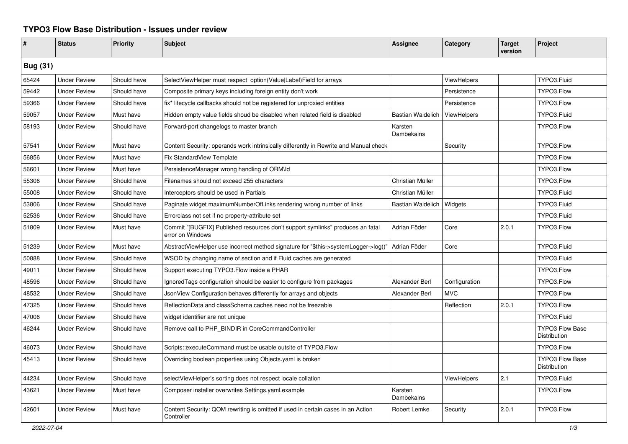## **TYPO3 Flow Base Distribution - Issues under review**

| #               | <b>Status</b>       | <b>Priority</b> | <b>Subject</b>                                                                                     | <b>Assignee</b>          | Category           | <b>Target</b><br>version | Project                                |
|-----------------|---------------------|-----------------|----------------------------------------------------------------------------------------------------|--------------------------|--------------------|--------------------------|----------------------------------------|
| <b>Bug (31)</b> |                     |                 |                                                                                                    |                          |                    |                          |                                        |
| 65424           | <b>Under Review</b> | Should have     | SelectViewHelper must respect option(Value Label) Field for arrays                                 |                          | <b>ViewHelpers</b> |                          | TYPO3.Fluid                            |
| 59442           | <b>Under Review</b> | Should have     | Composite primary keys including foreign entity don't work                                         |                          | Persistence        |                          | TYPO3.Flow                             |
| 59366           | <b>Under Review</b> | Should have     | fix* lifecycle callbacks should not be registered for unproxied entities                           |                          | Persistence        |                          | TYPO3.Flow                             |
| 59057           | <b>Under Review</b> | Must have       | Hidden empty value fields shoud be disabled when related field is disabled                         | <b>Bastian Waidelich</b> | ViewHelpers        |                          | TYPO3.Fluid                            |
| 58193           | <b>Under Review</b> | Should have     | Forward-port changelogs to master branch                                                           | Karsten<br>Dambekalns    |                    |                          | TYPO3.Flow                             |
| 57541           | <b>Under Review</b> | Must have       | Content Security: operands work intrinsically differently in Rewrite and Manual check              |                          | Security           |                          | TYPO3.Flow                             |
| 56856           | <b>Under Review</b> | Must have       | Fix StandardView Template                                                                          |                          |                    |                          | TYPO3.Flow                             |
| 56601           | <b>Under Review</b> | Must have       | PersistenceManager wrong handling of ORM\ld                                                        |                          |                    |                          | TYPO3.Flow                             |
| 55306           | <b>Under Review</b> | Should have     | Filenames should not exceed 255 characters                                                         | Christian Müller         |                    |                          | TYPO3.Flow                             |
| 55008           | <b>Under Review</b> | Should have     | Interceptors should be used in Partials                                                            | Christian Müller         |                    |                          | TYPO3.Fluid                            |
| 53806           | <b>Under Review</b> | Should have     | Paginate widget maximumNumberOfLinks rendering wrong number of links                               | <b>Bastian Waidelich</b> | Widgets            |                          | TYPO3.Fluid                            |
| 52536           | <b>Under Review</b> | Should have     | Errorclass not set if no property-attribute set                                                    |                          |                    |                          | TYPO3.Fluid                            |
| 51809           | <b>Under Review</b> | Must have       | Commit "[BUGFIX] Published resources don't support symlinks" produces an fatal<br>error on Windows | Adrian Föder             | Core               | 2.0.1                    | TYPO3.Flow                             |
| 51239           | <b>Under Review</b> | Must have       | AbstractViewHelper use incorrect method signature for "\$this->systemLogger->log()"                | Adrian Föder             | Core               |                          | TYPO3.Fluid                            |
| 50888           | <b>Under Review</b> | Should have     | WSOD by changing name of section and if Fluid caches are generated                                 |                          |                    |                          | TYPO3.Fluid                            |
| 49011           | <b>Under Review</b> | Should have     | Support executing TYPO3. Flow inside a PHAR                                                        |                          |                    |                          | TYPO3.Flow                             |
| 48596           | <b>Under Review</b> | Should have     | IgnoredTags configuration should be easier to configure from packages                              | Alexander Berl           | Configuration      |                          | TYPO3.Flow                             |
| 48532           | <b>Under Review</b> | Should have     | JsonView Configuration behaves differently for arrays and objects                                  | Alexander Berl           | <b>MVC</b>         |                          | TYPO3.Flow                             |
| 47325           | <b>Under Review</b> | Should have     | ReflectionData and classSchema caches need not be freezable                                        |                          | Reflection         | 2.0.1                    | TYPO3.Flow                             |
| 47006           | <b>Under Review</b> | Should have     | widget identifier are not unique                                                                   |                          |                    |                          | TYPO3.Fluid                            |
| 46244           | <b>Under Review</b> | Should have     | Remove call to PHP BINDIR in CoreCommandController                                                 |                          |                    |                          | <b>TYPO3 Flow Base</b><br>Distribution |
| 46073           | <b>Under Review</b> | Should have     | Scripts::executeCommand must be usable outsite of TYPO3.Flow                                       |                          |                    |                          | TYPO3.Flow                             |
| 45413           | <b>Under Review</b> | Should have     | Overriding boolean properties using Objects.yaml is broken                                         |                          |                    |                          | <b>TYPO3 Flow Base</b><br>Distribution |
| 44234           | <b>Under Review</b> | Should have     | selectViewHelper's sorting does not respect locale collation                                       |                          | <b>ViewHelpers</b> | 2.1                      | TYPO3.Fluid                            |
| 43621           | <b>Under Review</b> | Must have       | Composer installer overwrites Settings.yaml.example                                                | Karsten<br>Dambekalns    |                    |                          | TYPO3.Flow                             |
| 42601           | <b>Under Review</b> | Must have       | Content Security: QOM rewriting is omitted if used in certain cases in an Action<br>Controller     | Robert Lemke             | Security           | 2.0.1                    | TYPO3.Flow                             |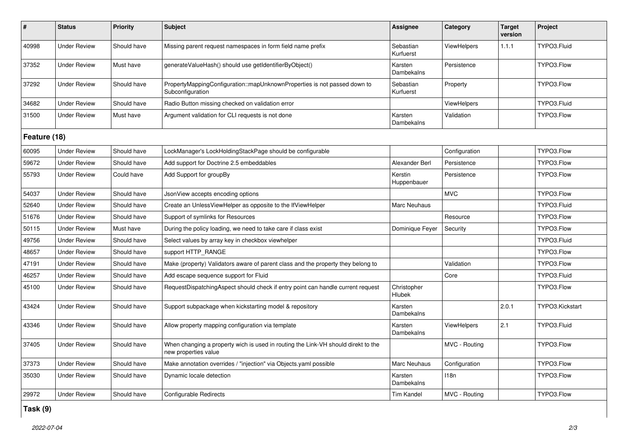| $\pmb{\sharp}$ | <b>Status</b>       | <b>Priority</b> | <b>Subject</b>                                                                                            | Assignee               | Category           | <b>Target</b><br>version | Project         |  |
|----------------|---------------------|-----------------|-----------------------------------------------------------------------------------------------------------|------------------------|--------------------|--------------------------|-----------------|--|
| 40998          | <b>Under Review</b> | Should have     | Missing parent request namespaces in form field name prefix                                               | Sebastian<br>Kurfuerst | ViewHelpers        | 1.1.1                    | TYPO3.Fluid     |  |
| 37352          | <b>Under Review</b> | Must have       | generateValueHash() should use getIdentifierByObject()                                                    | Karsten<br>Dambekalns  | Persistence        |                          | TYPO3.Flow      |  |
| 37292          | <b>Under Review</b> | Should have     | PropertyMappingConfiguration::mapUnknownProperties is not passed down to<br>Subconfiguration              | Sebastian<br>Kurfuerst | Property           |                          | TYPO3.Flow      |  |
| 34682          | <b>Under Review</b> | Should have     | Radio Button missing checked on validation error                                                          |                        | <b>ViewHelpers</b> |                          | TYPO3.Fluid     |  |
| 31500          | <b>Under Review</b> | Must have       | Argument validation for CLI requests is not done                                                          | Karsten<br>Dambekalns  | Validation         |                          | TYPO3.Flow      |  |
| Feature (18)   |                     |                 |                                                                                                           |                        |                    |                          |                 |  |
| 60095          | <b>Under Review</b> | Should have     | LockManager's LockHoldingStackPage should be configurable                                                 |                        | Configuration      |                          | TYPO3.Flow      |  |
| 59672          | <b>Under Review</b> | Should have     | Add support for Doctrine 2.5 embeddables                                                                  | Alexander Berl         | Persistence        |                          | TYPO3.Flow      |  |
| 55793          | <b>Under Review</b> | Could have      | Add Support for groupBy                                                                                   | Kerstin<br>Huppenbauer | Persistence        |                          | TYPO3.Flow      |  |
| 54037          | <b>Under Review</b> | Should have     | JsonView accepts encoding options                                                                         |                        | <b>MVC</b>         |                          | TYPO3.Flow      |  |
| 52640          | <b>Under Review</b> | Should have     | Create an UnlessViewHelper as opposite to the IfViewHelper                                                | Marc Neuhaus           |                    |                          | TYPO3.Fluid     |  |
| 51676          | <b>Under Review</b> | Should have     | Support of symlinks for Resources                                                                         |                        | Resource           |                          | TYPO3.Flow      |  |
| 50115          | <b>Under Review</b> | Must have       | During the policy loading, we need to take care if class exist                                            | Dominique Feyer        | Security           |                          | TYPO3.Flow      |  |
| 49756          | <b>Under Review</b> | Should have     | Select values by array key in checkbox viewhelper                                                         |                        |                    |                          | TYPO3.Fluid     |  |
| 48657          | <b>Under Review</b> | Should have     | support HTTP RANGE                                                                                        |                        |                    |                          | TYPO3.Flow      |  |
| 47191          | <b>Under Review</b> | Should have     | Make (property) Validators aware of parent class and the property they belong to                          |                        | Validation         |                          | TYPO3.Flow      |  |
| 46257          | <b>Under Review</b> | Should have     | Add escape sequence support for Fluid                                                                     |                        | Core               |                          | TYPO3.Fluid     |  |
| 45100          | <b>Under Review</b> | Should have     | RequestDispatchingAspect should check if entry point can handle current request                           | Christopher<br>Hlubek  |                    |                          | TYPO3.Flow      |  |
| 43424          | <b>Under Review</b> | Should have     | Support subpackage when kickstarting model & repository                                                   | Karsten<br>Dambekalns  |                    | 2.0.1                    | TYPO3.Kickstart |  |
| 43346          | <b>Under Review</b> | Should have     | Allow property mapping configuration via template                                                         | Karsten<br>Dambekalns  | <b>ViewHelpers</b> | 2.1                      | TYPO3.Fluid     |  |
| 37405          | <b>Under Review</b> | Should have     | When changing a property wich is used in routing the Link-VH should direkt to the<br>new properties value |                        | MVC - Routing      |                          | TYPO3.Flow      |  |
| 37373          | <b>Under Review</b> | Should have     | Make annotation overrides / "injection" via Objects yaml possible                                         | <b>Marc Neuhaus</b>    | Configuration      |                          | TYPO3.Flow      |  |
| 35030          | <b>Under Review</b> | Should have     | Dynamic locale detection                                                                                  | Karsten<br>Dambekalns  | 118n               |                          | TYPO3.Flow      |  |
| 29972          | <b>Under Review</b> | Should have     | Configurable Redirects                                                                                    | Tim Kandel             | MVC - Routing      |                          | TYPO3.Flow      |  |

**Task (9)**